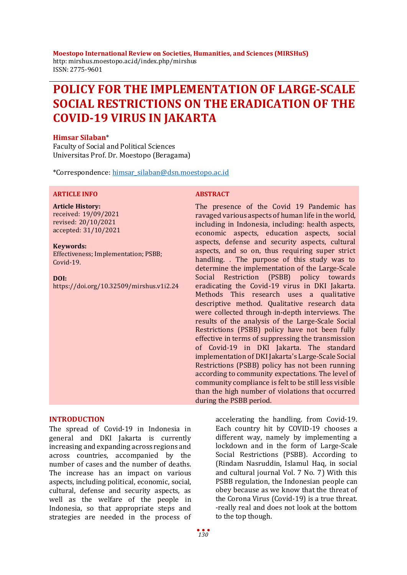**Moestopo International Review on Societies, Humanities, and Sciences (MIRSHuS)** http: mirshus.moestopo.ac.id/index.php/mirshus ISSN: 2775-9601

# **POLICY FOR THE IMPLEMENTATION OF LARGE-SCALE SOCIAL RESTRICTIONS ON THE ERADICATION OF THE COVID-19 VIRUS IN JAKARTA**

#### **Himsar Silaban**\*

Faculty of Social and Political Sciences Universitas Prof. Dr. Moestopo (Beragama)

\*Correspondence: [himsar\\_silaban@dsn.moestopo.ac.id](mailto:himsar_silaban@dsn.moestopo.ac.id)

### **ARTICLE INFO ABSTRACT**

**Article History:** received: 19/09/2021 revised: 20/10/2021 accepted: 31/10/2021

#### **Keywords:**

Effectiveness; Implementation; PSBB; Covid-19.

**DOI:**

https://doi.org/10.32509/mirshus.v1i2.24

The presence of the Covid 19 Pandemic has ravaged various aspects of human life in the world, including in Indonesia, including: health aspects, economic aspects, education aspects, social aspects, defense and security aspects, cultural aspects, and so on, thus requiring super strict handling. . The purpose of this study was to determine the implementation of the Large-Scale Social Restriction (PSBB) policy towards eradicating the Covid-19 virus in DKI Jakarta. Methods This research uses a qualitative descriptive method. Qualitative research data were collected through in-depth interviews. The results of the analysis of the Large-Scale Social Restrictions (PSBB) policy have not been fully effective in terms of suppressing the transmission of Covid-19 in DKI Jakarta. The standard implementation of DKI Jakarta's Large-Scale Social Restrictions (PSBB) policy has not been running according to community expectations. The level of community compliance is felt to be still less visible than the high number of violations that occurred during the PSBB period.

#### **INTRODUCTION**

The spread of Covid-19 in Indonesia in general and DKI Jakarta is currently increasing and expanding across regions and across countries, accompanied by the number of cases and the number of deaths. The increase has an impact on various aspects, including political, economic, social, cultural, defense and security aspects, as well as the welfare of the people in Indonesia, so that appropriate steps and strategies are needed in the process of

accelerating the handling. from Covid-19. Each country hit by COVID-19 chooses a different way, namely by implementing a lockdown and in the form of Large-Scale Social Restrictions (PSBB). According to (Rindam Nasruddin, Islamul Haq, in social and cultural journal Vol. 7 No. 7) With this PSBB regulation, the Indonesian people can obey because as we know that the threat of the Corona Virus (Covid-19) is a true threat. -really real and does not look at the bottom to the top though.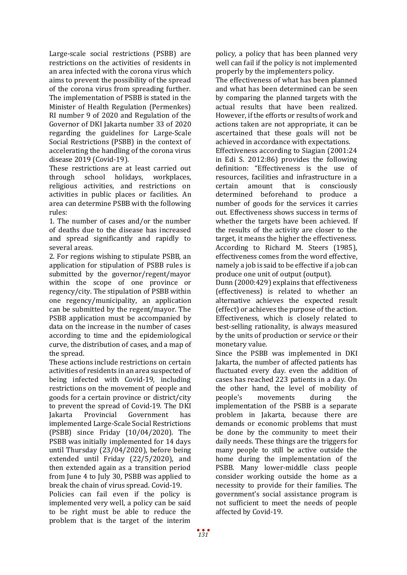Large-scale social restrictions (PSBB) are restrictions on the activities of residents in an area infected with the corona virus which aims to prevent the possibility of the spread of the corona virus from spreading further. The implementation of PSBB is stated in the Minister of Health Regulation (Permenkes) RI number 9 of 2020 and Regulation of the Governor of DKI Jakarta number 33 of 2020 regarding the guidelines for Large-Scale Social Restrictions (PSBB) in the context of accelerating the handling of the corona virus disease 2019 (Covid-19).

These restrictions are at least carried out<br>through school holidays. workplaces. through school holidays, religious activities, and restrictions on activities in public places or facilities. An area can determine PSBB with the following rules:

1. The number of cases and/or the number of deaths due to the disease has increased and spread significantly and rapidly to several areas.

2. For regions wishing to stipulate PSBB, an application for stipulation of PSBB rules is submitted by the governor/regent/mayor within the scope of one province or regency/city. The stipulation of PSBB within one regency/municipality, an application can be submitted by the regent/mayor. The PSBB application must be accompanied by data on the increase in the number of cases according to time and the epidemiological curve, the distribution of cases, and a map of the spread.

These actions include restrictions on certain activities of residents in an area suspected of being infected with Covid-19, including restrictions on the movement of people and goods for a certain province or district/city to prevent the spread of Covid-19. The DKI<br>Jakarta Provincial Government has Government implemented Large-Scale Social Restrictions (PSBB) since Friday (10/04/2020). The PSBB was initially implemented for 14 days until Thursday (23/04/2020), before being extended until Friday (22/5/2020), and then extended again as a transition period from June 4 to July 30, PSBB was applied to break the chain of virus spread. Covid-19.

Policies can fail even if the policy is implemented very well, a policy can be said to be right must be able to reduce the problem that is the target of the interim

policy, a policy that has been planned very well can fail if the policy is not implemented properly by the implementers policy.

The effectiveness of what has been planned and what has been determined can be seen by comparing the planned targets with the actual results that have been realized. However, if the efforts or results of work and actions taken are not appropriate, it can be ascertained that these goals will not be achieved in accordance with expectations.

Effectiveness according to Siagian (2001:24 in Edi S. 2012:86) provides the following definition: "Effectiveness is the use of resources, facilities and infrastructure in a<br>certain amount that is consciously certain amount that is consciously determined beforehand to produce a number of goods for the services it carries out. Effectiveness shows success in terms of whether the targets have been achieved. If the results of the activity are closer to the target, it means the higher the effectiveness. According to Richard M. Steers (1985), effectiveness comes from the word effective, namely a job is said to be effective if a job can produce one unit of output (output).

Dunn (2000:429) explains that effectiveness (effectiveness) is related to whether an alternative achieves the expected result (effect) or achieves the purpose of the action. Effectiveness, which is closely related to best-selling rationality, is always measured by the units of production or service or their monetary value.

Since the PSBB was implemented in DKI Jakarta, the number of affected patients has fluctuated every day. even the addition of cases has reached 223 patients in a day. On the other hand, the level of mobility of<br>people's movements during the movements implementation of the PSBB is a separate problem in Jakarta, because there are demands or economic problems that must be done by the community to meet their daily needs. These things are the triggers for many people to still be active outside the home during the implementation of the PSBB. Many lower-middle class people consider working outside the home as a necessity to provide for their families. The government's social assistance program is not sufficient to meet the needs of people affected by Covid-19.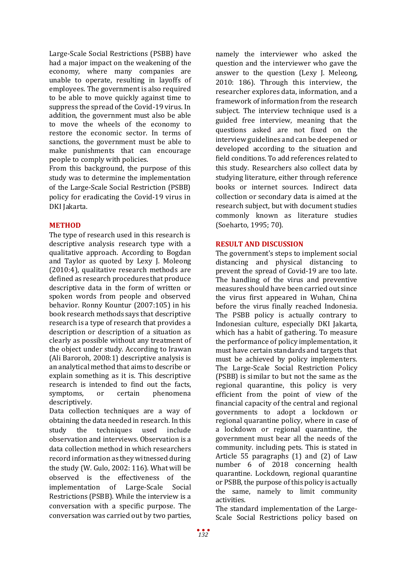Large-Scale Social Restrictions (PSBB) have had a major impact on the weakening of the economy, where many companies are unable to operate, resulting in layoffs of employees. The government is also required to be able to move quickly against time to suppress the spread of the Covid-19 virus. In addition, the government must also be able to move the wheels of the economy to restore the economic sector. In terms of sanctions, the government must be able to make punishments that can encourage people to comply with policies.

From this background, the purpose of this study was to determine the implementation of the Large-Scale Social Restriction (PSBB) policy for eradicating the Covid-19 virus in DKI Jakarta.

# **METHOD**

The type of research used in this research is descriptive analysis research type with a qualitative approach. According to Bogdan and Taylor as quoted by Lexy J. Moleong (2010:4), qualitative research methods are defined as research procedures that produce descriptive data in the form of written or spoken words from people and observed behavior. Ronny Kountur (2007:105) in his book research methods says that descriptive research is a type of research that provides a description or description of a situation as clearly as possible without any treatment of the object under study. According to Irawan (Ali Baroroh, 2008:1) descriptive analysis is an analytical method that aims to describe or explain something as it is. This descriptive research is intended to find out the facts,<br>symptoms. or certain phenomena symptoms, descriptively.

Data collection techniques are a way of obtaining the data needed in research. In this<br>study the techniques used include techniques used include observation and interviews. Observation is a data collection method in which researchers record information as they witnessed during the study (W. Gulo, 2002: 116). What will be observed is the effectiveness of the implementation of Large-Scale Social Restrictions (PSBB). While the interview is a conversation with a specific purpose. The conversation was carried out by two parties,

namely the interviewer who asked the question and the interviewer who gave the answer to the question (Lexy J. Meleong, 2010: 186). Through this interview, the researcher explores data, information, and a framework of information from the research subject. The interview technique used is a guided free interview, meaning that the questions asked are not fixed on the interview guidelines and can be deepened or developed according to the situation and field conditions. To add references related to this study. Researchers also collect data by studying literature, either through reference books or internet sources. Indirect data collection or secondary data is aimed at the research subject, but with document studies commonly known as literature studies (Soeharto, 1995; 70).

# **RESULT AND DISCUSSION**

The government's steps to implement social distancing and physical distancing to prevent the spread of Covid-19 are too late. The handling of the virus and preventive measures should have been carried out since the virus first appeared in Wuhan, China before the virus finally reached Indonesia. The PSBB policy is actually contrary to Indonesian culture, especially DKI Jakarta, which has a habit of gathering. To measure the performance of policy implementation, it must have certain standards and targets that must be achieved by policy implementers. The Large-Scale Social Restriction Policy (PSBB) is similar to but not the same as the regional quarantine, this policy is very efficient from the point of view of the financial capacity of the central and regional governments to adopt a lockdown or regional quarantine policy, where in case of a lockdown or regional quarantine, the government must bear all the needs of the community. including pets. This is stated in Article 55 paragraphs (1) and (2) of Law number 6 of 2018 concerning health quarantine. Lockdown, regional quarantine or PSBB, the purpose of this policy is actually the same, namely to limit community activities.

The standard implementation of the Large-Scale Social Restrictions policy based on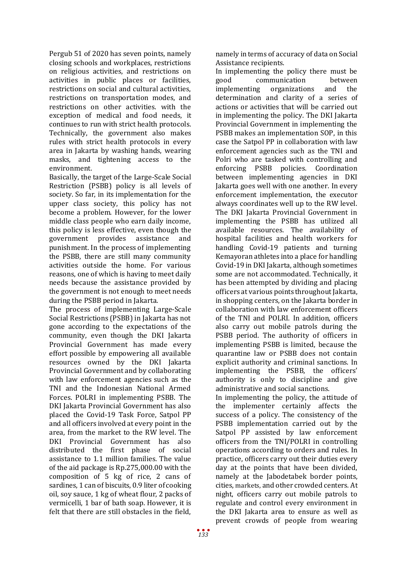Pergub 51 of 2020 has seven points, namely closing schools and workplaces, restrictions on religious activities, and restrictions on activities in public places or facilities, restrictions on social and cultural activities, restrictions on transportation modes, and restrictions on other activities. with the exception of medical and food needs, it continues to run with strict health protocols. Technically, the government also makes rules with strict health protocols in every area in Jakarta by washing hands, wearing masks, and tightening access to the environment.

Basically, the target of the Large-Scale Social Restriction (PSBB) policy is all levels of society. So far, in its implementation for the upper class society, this policy has not become a problem. However, for the lower middle class people who earn daily income, this policy is less effective, even though the government provides assistance and government provides punishment. In the process of implementing the PSBB, there are still many community activities outside the home. For various reasons, one of which is having to meet daily needs because the assistance provided by the government is not enough to meet needs during the PSBB period in Jakarta.

The process of implementing Large-Scale Social Restrictions (PSBB) in Jakarta has not gone according to the expectations of the community, even though the DKI Jakarta Provincial Government has made every effort possible by empowering all available resources owned by the DKI Jakarta Provincial Government and by collaborating with law enforcement agencies such as the TNI and the Indonesian National Armed Forces. POLRI in implementing PSBB. The DKI Jakarta Provincial Government has also placed the Covid-19 Task Force, Satpol PP and all officers involved at every point in the area, from the market to the RW level. The DKI Provincial Government has also distributed the first phase of social assistance to 1.1 million families. The value of the aid package is Rp.275,000.00 with the composition of 5 kg of rice, 2 cans of sardines, 1 can of biscuits, 0.9 liter of cooking oil, soy sauce, 1 kg of wheat flour, 2 packs of vermicelli, 1 bar of bath soap. However, it is felt that there are still obstacles in the field,

namely in terms of accuracy of data on Social Assistance recipients.

In implementing the policy there must be<br>good communication between good communication between<br>implementing organizations and the organizations determination and clarity of a series of actions or activities that will be carried out in implementing the policy. The DKI Jakarta Provincial Government in implementing the PSBB makes an implementation SOP, in this case the Satpol PP in collaboration with law enforcement agencies such as the TNI and Polri who are tasked with controlling and enforcing PSBB policies. Coordination between implementing agencies in DKI Jakarta goes well with one another. In every enforcement implementation, the executor always coordinates well up to the RW level. The DKI Jakarta Provincial Government in implementing the PSBB has utilized all available resources. The availability of hospital facilities and health workers for handling Covid-19 patients and turning Kemayoran athletes into a place for handling Covid-19 in DKI Jakarta, although sometimes some are not accommodated. Technically, it has been attempted by dividing and placing officers at various points throughout Jakarta, in shopping centers, on the Jakarta border in collaboration with law enforcement officers of the TNI and POLRI. In addition, officers also carry out mobile patrols during the PSBB period. The authority of officers in implementing PSBB is limited, because the quarantine law or PSBB does not contain explicit authority and criminal sanctions. In implementing the PSBB, the officers' authority is only to discipline and give administrative and social sanctions.

In implementing the policy, the attitude of the implementer certainly affects the success of a policy. The consistency of the PSBB implementation carried out by the Satpol PP assisted by law enforcement officers from the TNI/POLRI in controlling operations according to orders and rules. In practice, officers carry out their duties every day at the points that have been divided, namely at the Jabodetabek border points, cities, markets, and other crowded centers. At night, officers carry out mobile patrols to regulate and control every environment in the DKI Jakarta area to ensure as well as prevent crowds of people from wearing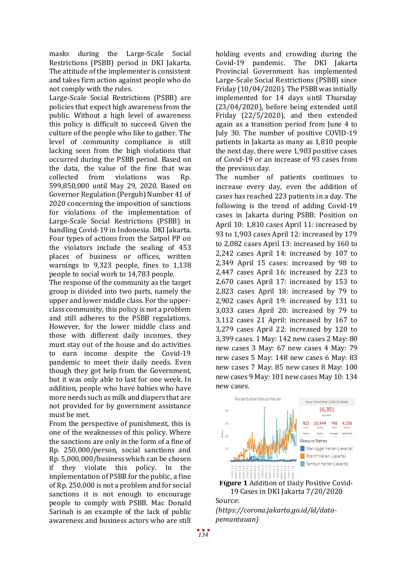masks during the Large-Scale Social Restrictions (PSBB) period in DKI Jakarta. The attitude of the implementer is consistent and takes firm action against people who do not comply with the rules.

Large-Scale Social Restrictions (PSBB) are policies that expect high awareness from the public. Without a high level of awareness this policy is difficult to succeed. Given the culture of the people who like to gather. The level of community compliance is still lacking seen from the high violations that occurred during the PSBB period. Based on the data, the value of the fine that was<br>collected from violations was Rn. violations was Rp. 599,850,000 until May 29, 2020. Based on Governor Regulation (Pergub) Number 41 of 2020 concerning the imposition of sanctions for violations of the implementation of Large-Scale Social Restrictions (PSBB) in handling Covid-19 in Indonesia. DKI Jakarta. Four types of actions from the Satpol PP on the violators include the sealing of 453 places of business or offices, written warnings to 9,323 people, fines to 1,138 people to social work to 14,783 people.

The response of the community as the target group is divided into two parts, namely the upper and lower middle class. For the upperclass community, this policy is not a problem and still adheres to the PSBB regulations. However, for the lower middle class and those with different daily incomes, they must stay out of the house and do activities to earn income despite the Covid-19 pandemic to meet their daily needs. Even though they got help from the Government, but it was only able to last for one week. In addition, people who have babies who have more needs such as milk and diapers that are not provided for by government assistance must be met.

From the perspective of punishment, this is one of the weaknesses of this policy. Where the sanctions are only in the form of a fine of Rp. 250,000/person, social sanctions and Rp. 5,000,000/business which can be chosen if they violate this policy. In the implementation of PSBB for the public, a fine of Rp. 250,000 is not a problem and for social sanctions it is not enough to encourage people to comply with PSBB. Mac Donald Sarinah is an example of the lack of public awareness and business actors who are still

holding events and crowding during the Covid-19 pandemic. The DKI Jakarta Provincial Government has implemented Large-Scale Social Restrictions (PSBB) since Friday (10/04/2020). The PSBB was initially implemented for 14 days until Thursday (23/04/2020), before being extended until Friday (22/5/2020), and then extended again as a transition period from June 4 to July 30. The number of positive COVID-19 patients in Jakarta as many as 1,810 people the next day, there were 1,903 positive cases of Covid-19 or an increase of 93 cases from the previous day.

The number of patients continues to increase every day, even the addition of cases has reached 223 patients in a day. The following is the trend of adding Covid-19 cases in Jakarta during PSBB: Position on April 10: 1,810 cases April 11: increased by 93 to 1,903 cases April 12: increased by 179 to 2,082 cases April 13: increased by 160 to 2,242 cases April 14: increased by 107 to 2,349 April 15 cases: increased by 98 to 2,447 cases April 16: increased by 223 to 2,670 cases April 17: increased by 153 to 2,823 cases April 18: increased by 79 to 2,902 cases April 19: increased by 131 to 3,033 cases April 20: increased by 79 to 3,112 cases 21 April: increased by 167 to 3,279 cases April 22: increased by 120 to 3,399 cases. 1 May: 142 new cases 2 May: 80 new cases 3 May: 67 new cases 4 May: 79 new cases 5 May: 148 new cases 6 May: 83 new cases 7 May: 85 new cases 8 May: 100 new cases 9 May: 101 new cases May 10: 134 new cases.



**Figure 1** Addition of Daily Positive Covid-19 Cases in DKI Jakarta 7/20/2020 Source:

*[\(https://corona.jakarta.go.id/id/data](https://corona.jakarta.go.id/id/data-pemantauan)[pemantauan\)](https://corona.jakarta.go.id/id/data-pemantauan)*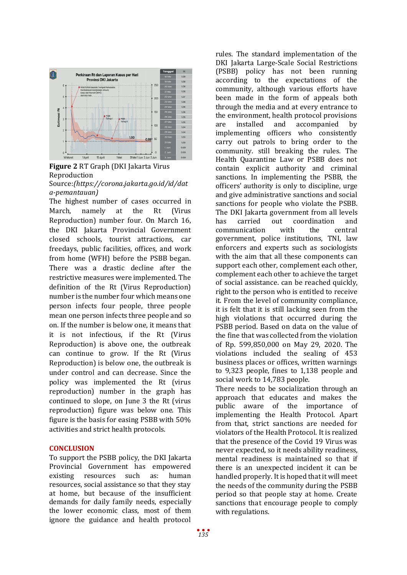

**Figure 2** RT Graph (DKI Jakarta Virus Reproduction Source:*[\(https://corona.jakarta.go.id/id/dat](https://corona.jakarta.go.id/id/data-pemantauan)*

*[a-pemantauan\)](https://corona.jakarta.go.id/id/data-pemantauan)* The highest number of cases occurred in March, namely at the Rt (Virus Reproduction) number four. On March 16, the DKI Jakarta Provincial Government closed schools, tourist attractions, car freedays, public facilities, offices, and work from home (WFH) before the PSBB began. There was a drastic decline after the restrictive measures were implemented. The definition of the Rt (Virus Reproduction) number is the number four which means one person infects four people, three people mean one person infects three people and so on. If the number is below one, it means that it is not infectious, if the Rt (Virus Reproduction) is above one, the outbreak can continue to grow. If the Rt (Virus Reproduction) is below one, the outbreak is under control and can decrease. Since the policy was implemented the Rt (virus reproduction) number in the graph has continued to slope, on June 3 the Rt (virus reproduction) figure was below one. This figure is the basis for easing PSBB with 50% activities and strict health protocols.

### **CONCLUSION**

To support the PSBB policy, the DKI Jakarta Provincial Government has empowered<br>existing resources such as: human resources resources, social assistance so that they stay at home, but because of the insufficient demands for daily family needs, especially the lower economic class, most of them ignore the guidance and health protocol

rules. The standard implementation of the DKI Jakarta Large-Scale Social Restrictions (PSBB) policy has not been running according to the expectations of the community, although various efforts have been made in the form of appeals both through the media and at every entrance to the environment, health protocol provisions<br>are installed and accompanied by accompanied implementing officers who consistently carry out patrols to bring order to the community. still breaking the rules. The Health Quarantine Law or PSBB does not contain explicit authority and criminal sanctions. In implementing the PSBB, the officers' authority is only to discipline, urge and give administrative sanctions and social sanctions for people who violate the PSBB. The DKI Jakarta government from all levels<br>has carried out coordination and t coordination and<br>with the central communication government, police institutions, TNI, law enforcers and experts such as sociologists with the aim that all these components can support each other, complement each other, complement each other to achieve the target of social assistance. can be reached quickly, right to the person who is entitled to receive it. From the level of community compliance, it is felt that it is still lacking seen from the high violations that occurred during the PSBB period. Based on data on the value of the fine that was collected from the violation of Rp. 599,850,000 on May 29, 2020. The violations included the sealing of 453 business places or offices, written warnings to 9,323 people, fines to 1,138 people and social work to 14,783 people.

There needs to be socialization through an approach that educates and makes the<br>public aware of the importance of public aware of the importance implementing the Health Protocol. Apart from that, strict sanctions are needed for violators of the Health Protocol. It is realized that the presence of the Covid 19 Virus was never expected, so it needs ability readiness, mental readiness is maintained so that if there is an unexpected incident it can be handled properly. It is hoped that it will meet the needs of the community during the PSBB period so that people stay at home. Create sanctions that encourage people to comply with regulations.